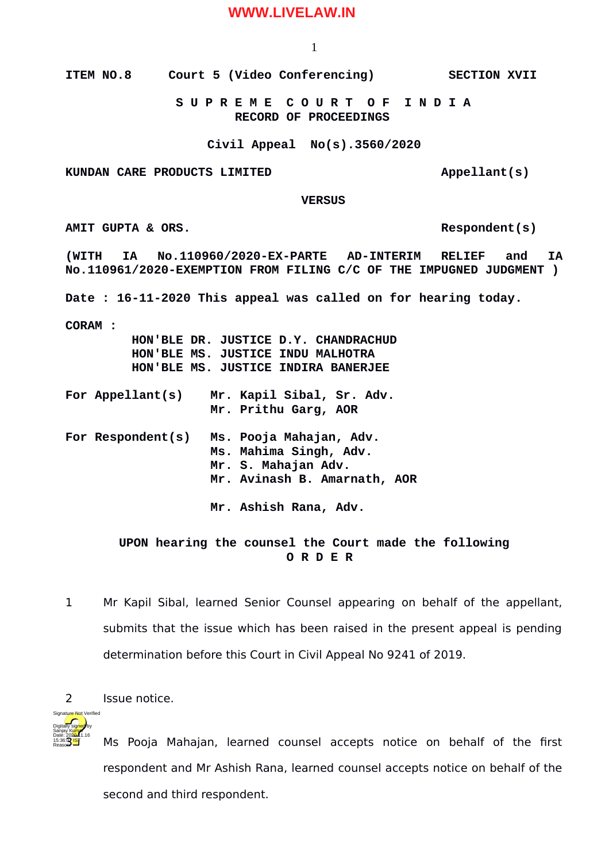## **WWW.LIVELAW.IN**

1

**ITEM NO.8 Court 5 (Video Conferencing) SECTION XVII**

 **S U P R E M E C O U R T O F I N D I A RECORD OF PROCEEDINGS**

**Civil Appeal No(s).3560/2020**

KUNDAN CARE PRODUCTS LIMITED **Appellant** (s)

 **VERSUS**

AMIT GUPTA & ORS.

**(WITH IA No.110960/2020-EX-PARTE AD-INTERIM RELIEF and IA No.110961/2020-EXEMPTION FROM FILING C/C OF THE IMPUGNED JUDGMENT ) Date : 16-11-2020 This appeal was called on for hearing today. CORAM : HON'BLE DR. JUSTICE D.Y. CHANDRACHUD HON'BLE MS. JUSTICE INDU MALHOTRA HON'BLE MS. JUSTICE INDIRA BANERJEE For Appellant(s) Mr. Kapil Sibal, Sr. Adv. Mr. Prithu Garg, AOR For Respondent(s) Ms. Pooja Mahajan, Adv. Ms. Mahima Singh, Adv. Mr. S. Mahajan Adv. Mr. Avinash B. Amarnath, AOR Mr. Ashish Rana, Adv.** 

## **UPON hearing the counsel the Court made the following O R D E R**

- 1 Mr Kapil Sibal, learned Senior Counsel appearing on behalf of the appellant, submits that the issue which has been raised in the present appeal is pending determination before this Court in Civil Appeal No 9241 of 2019.
- 2 Issue notice.



Ms Pooja Mahajan, learned counsel accepts notice on behalf of the first respondent and Mr Ashish Rana, learned counsel accepts notice on behalf of the second and third respondent.